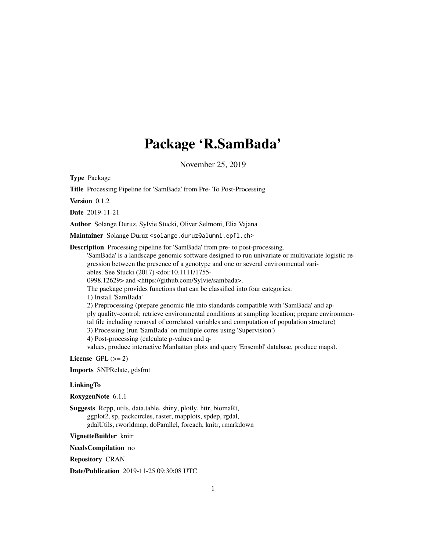## Package 'R.SamBada'

November 25, 2019

Type Package

Title Processing Pipeline for 'SamBada' from Pre- To Post-Processing

Version  $0.1.2$ 

Date 2019-11-21

Author Solange Duruz, Sylvie Stucki, Oliver Selmoni, Elia Vajana

Maintainer Solange Duruz <solange.duruz@alumni.epfl.ch>

Description Processing pipeline for 'SamBada' from pre- to post-processing.

'SamBada' is a landscape genomic software designed to run univariate or multivariate logistic regression between the presence of a genotype and one or several environmental variables. See Stucki (2017) <doi:10.1111/1755- 0998.12629> and <https://github.com/Sylvie/sambada>. The package provides functions that can be classified into four categories: 1) Install 'SamBada' 2) Preprocessing (prepare genomic file into standards compatible with 'SamBada' and apply quality-control; retrieve environmental conditions at sampling location; prepare environmental file including removal of correlated variables and computation of population structure) 3) Processing (run 'SamBada' on multiple cores using 'Supervision') 4) Post-processing (calculate p-values and qvalues, produce interactive Manhattan plots and query 'Ensembl' database, produce maps).

License GPL  $(>= 2)$ 

Imports SNPRelate, gdsfmt

#### **LinkingTo**

RoxygenNote 6.1.1

Suggests Rcpp, utils, data.table, shiny, plotly, httr, biomaRt, ggplot2, sp, packcircles, raster, mapplots, spdep, rgdal, gdalUtils, rworldmap, doParallel, foreach, knitr, rmarkdown

VignetteBuilder knitr

NeedsCompilation no

Repository CRAN

Date/Publication 2019-11-25 09:30:08 UTC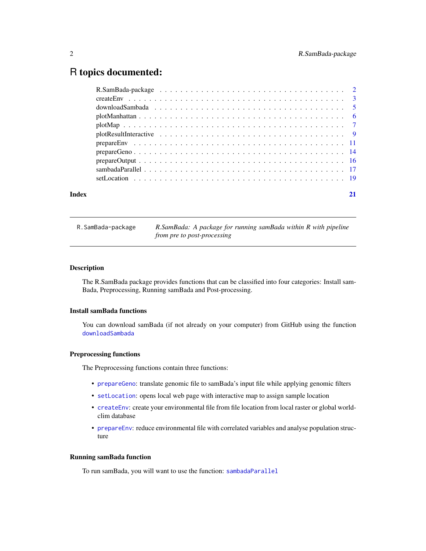### <span id="page-1-0"></span>R topics documented:

| Index |  |
|-------|--|

|  | R.SamBada-package |  |  |  |
|--|-------------------|--|--|--|
|--|-------------------|--|--|--|

R.SamBada-package *R.SamBada: A package for running samBada within R with pipeline from pre to post-processing*

#### Description

The R.SamBada package provides functions that can be classified into four categories: Install sam-Bada, Preprocessing, Running samBada and Post-processing.

#### Install samBada functions

You can download samBada (if not already on your computer) from GitHub using the function [downloadSambada](#page-4-1)

#### Preprocessing functions

The Preprocessing functions contain three functions:

- [prepareGeno](#page-13-1): translate genomic file to samBada's input file while applying genomic filters
- [setLocation](#page-18-1): opens local web page with interactive map to assign sample location
- [createEnv](#page-2-1): create your environmental file from file location from local raster or global worldclim database
- [prepareEnv](#page-10-1): reduce environmental file with correlated variables and analyse population structure

#### Running samBada function

To run samBada, you will want to use the function: [sambadaParallel](#page-16-1)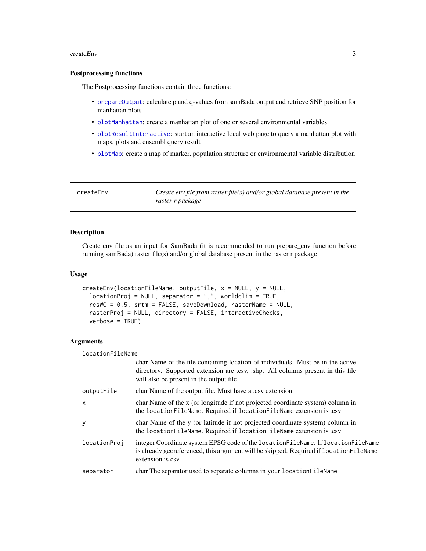#### <span id="page-2-0"></span>createEnv 3

#### Postprocessing functions

The Postprocessing functions contain three functions:

- [prepareOutput](#page-15-1): calculate p and q-values from samBada output and retrieve SNP position for manhattan plots
- [plotManhattan](#page-5-1): create a manhattan plot of one or several environmental variables
- [plotResultInteractive](#page-8-1): start an interactive local web page to query a manhattan plot with maps, plots and ensembl query result
- [plotMap](#page-6-1): create a map of marker, population structure or environmental variable distribution

<span id="page-2-1"></span>

| createEnv | Create env file from raster file(s) and/or global database present in the |
|-----------|---------------------------------------------------------------------------|
|           | raster r package                                                          |

#### Description

Create env file as an input for SamBada (it is recommended to run prepare\_env function before running samBada) raster file(s) and/or global database present in the raster r package

#### Usage

```
createEnv(locationFileName, outputFile, x = NULL, y = NULL,
  locationProj = NULL, separator = ",", worldclim = TRUE,
  resWC = 0.5, srtm = FALSE, saveDownload, rasterName = NULL,
  rasterProj = NULL, directory = FALSE, interactiveChecks,
  verbose = TRUE)
```
#### Arguments

locationFileName

|                           | char Name of the file containing location of individuals. Must be in the active<br>directory. Supported extension are .csv, .shp. All columns present in this file<br>will also be present in the output file. |
|---------------------------|----------------------------------------------------------------------------------------------------------------------------------------------------------------------------------------------------------------|
| outputFile                | char Name of the output file. Must have a .csv extension.                                                                                                                                                      |
| $\boldsymbol{\mathsf{x}}$ | char Name of the x (or longitude if not projected coordinate system) column in<br>the location FileName. Required if location FileName extension is .csv                                                       |
| y                         | char Name of the y (or latitude if not projected coordinate system) column in<br>the locationFileName. Required if locationFileName extension is .csv                                                          |
| locationProj              | integer Coordinate system EPSG code of the location FileName. If location FileName<br>is already georeferenced, this argument will be skipped. Required if location FileName<br>extension is csv.              |
| separator                 | char The separator used to separate columns in your location FileName                                                                                                                                          |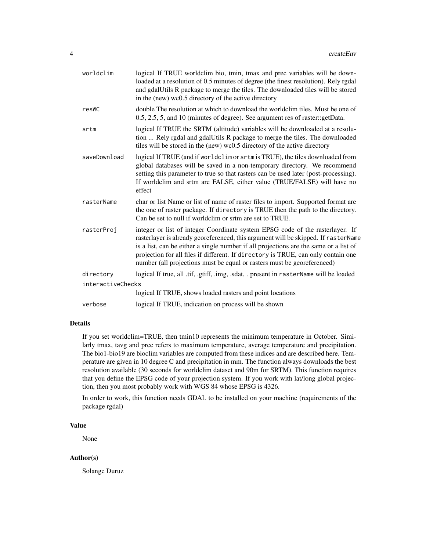| logical If TRUE worldclim bio, tmin, tmax and prec variables will be down-<br>loaded at a resolution of 0.5 minutes of degree (the finest resolution). Rely rgdal<br>and gdalUtils R package to merge the tiles. The downloaded tiles will be stored<br>in the (new) wc0.5 directory of the active directory                                                                                                                 |  |  |
|------------------------------------------------------------------------------------------------------------------------------------------------------------------------------------------------------------------------------------------------------------------------------------------------------------------------------------------------------------------------------------------------------------------------------|--|--|
| double The resolution at which to download the worldclim tiles. Must be one of<br>0.5, 2.5, 5, and 10 (minutes of degree). See argument res of raster:: getData.                                                                                                                                                                                                                                                             |  |  |
| logical If TRUE the SRTM (altitude) variables will be downloaded at a resolu-<br>tion  Rely rgdal and gdalUtils R package to merge the tiles. The downloaded<br>tiles will be stored in the (new) wc0.5 directory of the active directory                                                                                                                                                                                    |  |  |
| logical If TRUE (and if worldclim or srtm is TRUE), the tiles downloaded from<br>global databases will be saved in a non-temporary directory. We recommend<br>setting this parameter to true so that rasters can be used later (post-processing).<br>If worldclim and srtm are FALSE, either value (TRUE/FALSE) will have no<br>effect                                                                                       |  |  |
| char or list Name or list of name of raster files to import. Supported format are<br>the one of raster package. If directory is TRUE then the path to the directory.<br>Can be set to null if worldclim or srtm are set to TRUE.                                                                                                                                                                                             |  |  |
| integer or list of integer Coordinate system EPSG code of the rasterlayer. If<br>rasterlayer is already georeferenced, this argument will be skipped. If rasterName<br>is a list, can be either a single number if all projections are the same or a list of<br>projection for all files if different. If directory is TRUE, can only contain one<br>number (all projections must be equal or rasters must be georeferenced) |  |  |
| logical If true, all .tif, .gtiff, .img, .sdat, . present in rasterName will be loaded                                                                                                                                                                                                                                                                                                                                       |  |  |
| interactiveChecks                                                                                                                                                                                                                                                                                                                                                                                                            |  |  |
| logical If TRUE, shows loaded rasters and point locations                                                                                                                                                                                                                                                                                                                                                                    |  |  |
| logical If TRUE, indication on process will be shown                                                                                                                                                                                                                                                                                                                                                                         |  |  |
|                                                                                                                                                                                                                                                                                                                                                                                                                              |  |  |

#### Details

If you set worldclim=TRUE, then tmin10 represents the minimum temperature in October. Similarly tmax, tavg and prec refers to maximum temperature, average temperature and precipitation. The bio1-bio19 are bioclim variables are computed from these indices and are described here. Temperature are given in 10 degree C and precipitation in mm. The function always downloads the best resolution available (30 seconds for worldclim dataset and 90m for SRTM). This function requires that you define the EPSG code of your projection system. If you work with lat/long global projection, then you most probably work with WGS 84 whose EPSG is 4326.

In order to work, this function needs GDAL to be installed on your machine (requirements of the package rgdal)

#### Value

None

#### Author(s)

Solange Duruz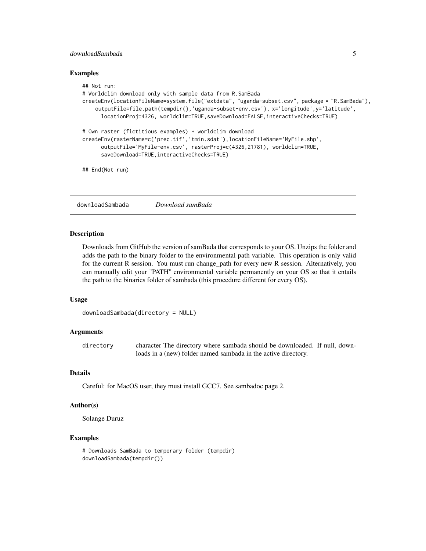#### <span id="page-4-0"></span>downloadSambada 5

#### Examples

```
## Not run:
# Worldclim download only with sample data from R.SamBada
createEnv(locationFileName=system.file("extdata", "uganda-subset.csv", package = "R.SamBada"),
    outputFile=file.path(tempdir(),'uganda-subset-env.csv'), x='longitude',y='latitude',
      locationProj=4326, worldclim=TRUE,saveDownload=FALSE,interactiveChecks=TRUE)
# Own raster (fictitious examples) + worldclim download
createEnv(rasterName=c('prec.tif','tmin.sdat'),locationFileName='MyFile.shp',
      outputFile='MyFile-env.csv', rasterProj=c(4326,21781), worldclim=TRUE,
      saveDownload=TRUE, interactiveChecks=TRUE)
## End(Not run)
```
<span id="page-4-1"></span>downloadSambada *Download samBada*

#### Description

Downloads from GitHub the version of samBada that corresponds to your OS. Unzips the folder and adds the path to the binary folder to the environmental path variable. This operation is only valid for the current R session. You must run change\_path for every new R session. Alternatively, you can manually edit your "PATH" environmental variable permanently on your OS so that it entails the path to the binaries folder of sambada (this procedure different for every OS).

#### Usage

```
downloadSambada(directory = NULL)
```
#### Arguments

directory character The directory where sambada should be downloaded. If null, downloads in a (new) folder named sambada in the active directory.

#### Details

Careful: for MacOS user, they must install GCC7. See sambadoc page 2.

#### Author(s)

Solange Duruz

```
# Downloads SamBada to temporary folder (tempdir)
downloadSambada(tempdir())
```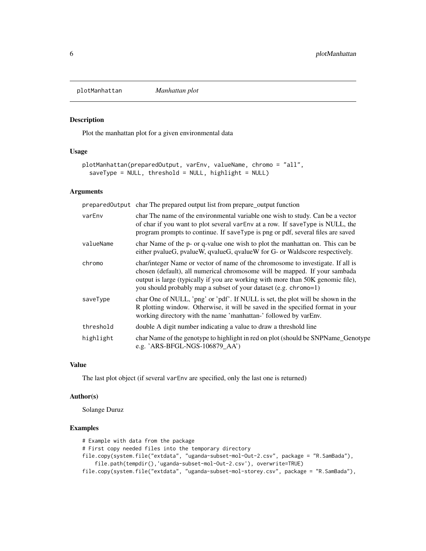<span id="page-5-1"></span><span id="page-5-0"></span>plotManhattan *Manhattan plot*

#### Description

Plot the manhattan plot for a given environmental data

#### Usage

```
plotManhattan(preparedOutput, varEnv, valueName, chromo = "all",
  saveType = NULL, threshold = NULL, highlight = NULL
```
#### Arguments

|           | prepared Output char The prepared output list from prepare_output function                                                                                                                                                                                                                                           |
|-----------|----------------------------------------------------------------------------------------------------------------------------------------------------------------------------------------------------------------------------------------------------------------------------------------------------------------------|
| varEnv    | char The name of the environmental variable one wish to study. Can be a vector<br>of char if you want to plot several varEnv at a row. If saveType is NULL, the<br>program prompts to continue. If saveType is png or pdf, several files are saved                                                                   |
| valueName | char Name of the p- or q-value one wish to plot the manhattan on. This can be<br>either pvalueG, pvalueW, qvalueG, qvalueW for G- or Waldscore respectively.                                                                                                                                                         |
| chromo    | char/integer Name or vector of name of the chromosome to investigate. If all is<br>chosen (default), all numerical chromosome will be mapped. If your sambada<br>output is large (typically if you are working with more than 50K genomic file),<br>you should probably map a subset of your dataset (e.g. chromo=1) |
| saveType  | char One of NULL, 'png' or 'pdf'. If NULL is set, the plot will be shown in the<br>R plotting window. Otherwise, it will be saved in the specified format in your<br>working directory with the name 'manhattan-' followed by varEnv.                                                                                |
| threshold | double A digit number indicating a value to draw a threshold line                                                                                                                                                                                                                                                    |
| highlight | char Name of the genotype to highlight in red on plot (should be SNPName_Genotype<br>e.g. 'ARS-BFGL-NGS-106879 $AA$ ')                                                                                                                                                                                               |

#### Value

The last plot object (if several varEnv are specified, only the last one is returned)

#### Author(s)

Solange Duruz

```
# Example with data from the package
# First copy needed files into the temporary directory
file.copy(system.file("extdata", "uganda-subset-mol-Out-2.csv", package = "R.SamBada"),
    file.path(tempdir(),'uganda-subset-mol-Out-2.csv'), overwrite=TRUE)
file.copy(system.file("extdata", "uganda-subset-mol-storey.csv", package = "R.SamBada"),
```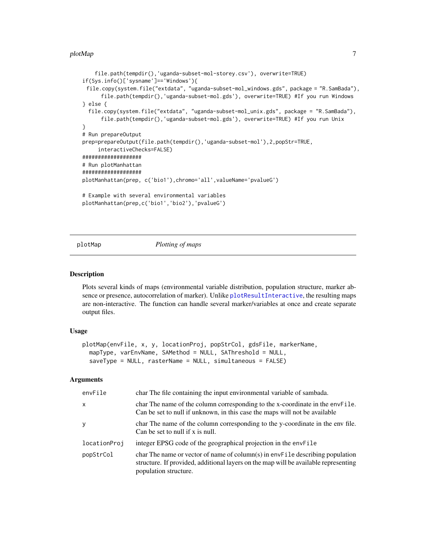#### <span id="page-6-0"></span>plotMap 2008 and 2008 and 2008 and 2008 and 2008 and 2008 and 2008 and 2008 and 2008 and 2008 and 2008 and 20

```
file.path(tempdir(),'uganda-subset-mol-storey.csv'), overwrite=TRUE)
if(Sys.info()['sysname']=='Windows'){
 file.copy(system.file("extdata", "uganda-subset-mol_windows.gds", package = "R.SamBada"),
     file.path(tempdir(),'uganda-subset-mol.gds'), overwrite=TRUE) #If you run Windows
} else {
 file.copy(system.file("extdata", "uganda-subset-mol_unix.gds", package = "R.SamBada"),
     file.path(tempdir(),'uganda-subset-mol.gds'), overwrite=TRUE) #If you run Unix
}
# Run prepareOutput
prep=prepareOutput(file.path(tempdir(),'uganda-subset-mol'),2,popStr=TRUE,
     interactiveChecks=FALSE)
###################
# Run plotManhattan
###################
plotManhattan(prep, c('bio1'),chromo='all',valueName='pvalueG')
# Example with several environmental variables
plotManhattan(prep,c('bio1','bio2'),'pvalueG')
```
<span id="page-6-1"></span>

plotMap *Plotting of maps*

#### Description

Plots several kinds of maps (environmental variable distribution, population structure, marker absence or presence, autocorrelation of marker). Unlike [plotResultInteractive](#page-8-1), the resulting maps are non-interactive. The function can handle several marker/variables at once and create separate output files.

#### Usage

```
plotMap(envFile, x, y, locationProj, popStrCol, gdsFile, markerName,
 mapType, varEnvName, SAMethod = NULL, SAThreshold = NULL,
  saveType = NULL, rasterName = NULL, simultaneous = FALSE)
```

| envFile      | char The file containing the input environmental variable of sambada.                                                                                                                         |
|--------------|-----------------------------------------------------------------------------------------------------------------------------------------------------------------------------------------------|
| X            | char The name of the column corresponding to the x-coordinate in the envFile.<br>Can be set to null if unknown, in this case the maps will not be available                                   |
| У            | char The name of the column corresponding to the y-coordinate in the env file.<br>Can be set to null if $x$ is null.                                                                          |
| locationProj | integer EPSG code of the geographical projection in the envFile                                                                                                                               |
| popStrCol    | char The name or vector of name of column(s) in envFile describing population<br>structure. If provided, additional layers on the map will be available representing<br>population structure. |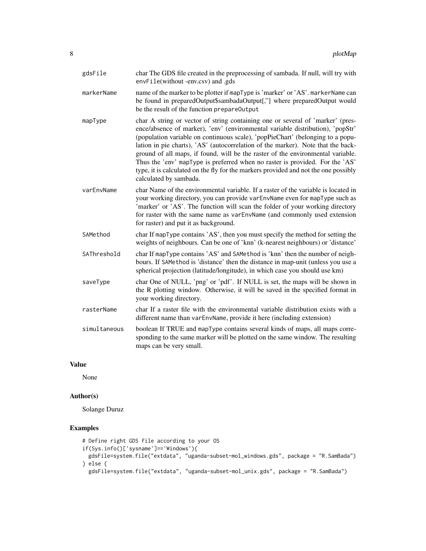| gdsFile      | char The GDS file created in the preprocessing of sambada. If null, will try with<br>envFile(without-env.csv) and .gds                                                                                                                                                                                                                                                                                                                                                                                                                                                                                                     |
|--------------|----------------------------------------------------------------------------------------------------------------------------------------------------------------------------------------------------------------------------------------------------------------------------------------------------------------------------------------------------------------------------------------------------------------------------------------------------------------------------------------------------------------------------------------------------------------------------------------------------------------------------|
| markerName   | name of the marker to be plotter if mapType is 'marker' or 'AS'. markerName can<br>be found in preparedOutput\$sambadaOutput[,"] where preparedOutput would<br>be the result of the function prepareOutput                                                                                                                                                                                                                                                                                                                                                                                                                 |
| mapType      | char A string or vector of string containing one or several of 'marker' (pres-<br>ence/absence of marker), 'env' (environmental variable distribution), 'popStr'<br>(population variable on continuous scale), 'popPieChart' (belonging to a popu-<br>lation in pie charts), 'AS' (autocorrelation of the marker). Note that the back-<br>ground of all maps, if found, will be the raster of the environmental variable.<br>Thus the 'env' mapType is preferred when no raster is provided. For the 'AS'<br>type, it is calculated on the fly for the markers provided and not the one possibly<br>calculated by sambada. |
| varEnvName   | char Name of the environmental variable. If a raster of the variable is located in<br>your working directory, you can provide varEnvName even for mapType such as<br>'marker' or 'AS'. The function will scan the folder of your working directory<br>for raster with the same name as varEnvName (and commonly used extension<br>for raster) and put it as background.                                                                                                                                                                                                                                                    |
| SAMethod     | char If mapType contains 'AS', then you must specify the method for setting the<br>weights of neighbours. Can be one of 'knn' (k-nearest neighbours) or 'distance'                                                                                                                                                                                                                                                                                                                                                                                                                                                         |
| SAThreshold  | char If mapType contains 'AS' and SAMethod is 'knn' then the number of neigh-<br>bours. If SAMethod is 'distance' then the distance in map-unit (unless you use a<br>spherical projection (latitude/longitude), in which case you should use km)                                                                                                                                                                                                                                                                                                                                                                           |
| saveType     | char One of NULL, 'png' or 'pdf'. If NULL is set, the maps will be shown in<br>the R plotting window. Otherwise, it will be saved in the specified format in<br>your working directory.                                                                                                                                                                                                                                                                                                                                                                                                                                    |
| rasterName   | char If a raster file with the environmental variable distribution exists with a<br>different name than varEnvName, provide it here (including extension)                                                                                                                                                                                                                                                                                                                                                                                                                                                                  |
| simultaneous | boolean If TRUE and mapType contains several kinds of maps, all maps corre-<br>sponding to the same marker will be plotted on the same window. The resulting<br>maps can be very small.                                                                                                                                                                                                                                                                                                                                                                                                                                    |

#### Value

None

#### Author(s)

Solange Duruz

```
# Define right GDS file according to your OS
if(Sys.info()['sysname']=='Windows'){
 gdsFile=system.file("extdata", "uganda-subset-mol_windows.gds", package = "R.SamBada")
} else {
  gdsFile=system.file("extdata", "uganda-subset-mol_unix.gds", package = "R.SamBada")
```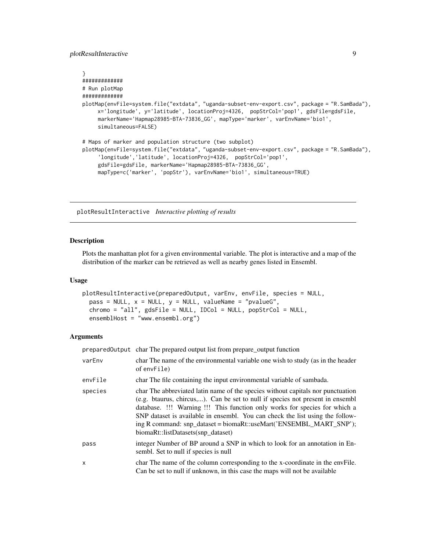#### <span id="page-8-0"></span>plotResultInteractive 9

```
}
#############
# Run plotMap
#############
plotMap(envFile=system.file("extdata", "uganda-subset-env-export.csv", package = "R.SamBada"),
    x='longitude', y='latitude', locationProj=4326, popStrCol='pop1', gdsFile=gdsFile,
     markerName='Hapmap28985-BTA-73836_GG', mapType='marker', varEnvName='bio1',
     simultaneous=FALSE)
# Maps of marker and population structure (two subplot)
plotMap(envFile=system.file("extdata", "uganda-subset-env-export.csv", package = "R.SamBada"),
     'longitude','latitude', locationProj=4326, popStrCol='pop1',
     gdsFile=gdsFile, markerName='Hapmap28985-BTA-73836_GG',
    mapType=c('marker', 'popStr'), varEnvName='bio1', simultaneous=TRUE)
```
<span id="page-8-1"></span>plotResultInteractive *Interactive plotting of results*

#### Description

Plots the manhattan plot for a given environmental variable. The plot is interactive and a map of the distribution of the marker can be retrieved as well as nearby genes listed in Ensembl.

#### Usage

```
plotResultInteractive(preparedOutput, varEnv, envFile, species = NULL,
 pass = NULL, x = NULL, y = NULL, valueName = "pvalueG",chromo = "all", gdsFile = NULL, IDCol = NULL, popStrCol = NULL,ensemblHost = "www.ensembl.org")
```

|         | prepared output char The prepared output list from prepare output function                                                                                                                                                                                                                                                                                                                                                                   |
|---------|----------------------------------------------------------------------------------------------------------------------------------------------------------------------------------------------------------------------------------------------------------------------------------------------------------------------------------------------------------------------------------------------------------------------------------------------|
| varEnv  | char The name of the environmental variable one wish to study (as in the header<br>of envFile)                                                                                                                                                                                                                                                                                                                                               |
| envFile | char The file containing the input environmental variable of sambada.                                                                                                                                                                                                                                                                                                                                                                        |
| species | char The abbreviated latin name of the species without capitals nor punctuation<br>(e.g. btaurus, chircus,). Can be set to null if species not present in ensembl<br>database. !!! Warning !!! This function only works for species for which a<br>SNP dataset is available in ensembl. You can check the list using the follow-<br>ing R command: snp_dataset = biomaRt::useMart('ENSEMBL_MART_SNP');<br>biomaRt::listDatasets(snp_dataset) |
| pass    | integer Number of BP around a SNP in which to look for an annotation in En-<br>sembl. Set to null if species is null                                                                                                                                                                                                                                                                                                                         |
| X       | char The name of the column corresponding to the x-coordinate in the envFile.<br>Can be set to null if unknown, in this case the maps will not be available                                                                                                                                                                                                                                                                                  |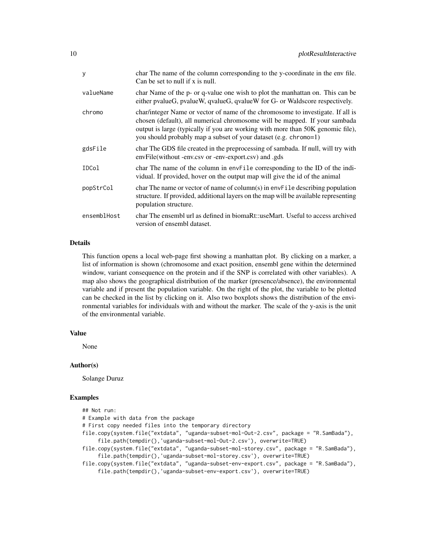| У           | char The name of the column corresponding to the y-coordinate in the env file.<br>Can be set to null if x is null.                                                                                                                                                                                                   |
|-------------|----------------------------------------------------------------------------------------------------------------------------------------------------------------------------------------------------------------------------------------------------------------------------------------------------------------------|
| valueName   | char Name of the p- or q-value one wish to plot the manhattan on. This can be<br>either pvalueG, pvalueW, qvalueG, qvalueW for G- or Waldscore respectively.                                                                                                                                                         |
| chromo      | char/integer Name or vector of name of the chromosome to investigate. If all is<br>chosen (default), all numerical chromosome will be mapped. If your sambada<br>output is large (typically if you are working with more than 50K genomic file),<br>you should probably map a subset of your dataset (e.g. chromo=1) |
| gdsFile     | char The GDS file created in the preprocessing of sambada. If null, will try with<br>envFile(without -env.csv or -env-export.csv) and .gds                                                                                                                                                                           |
| IDCol       | char The name of the column in envFile corresponding to the ID of the indi-<br>vidual. If provided, hover on the output map will give the id of the animal                                                                                                                                                           |
| popStrCol   | char The name or vector of name of column(s) in $envFile$ describing population<br>structure. If provided, additional layers on the map will be available representing<br>population structure.                                                                                                                      |
| ensemblHost | char The ensembl url as defined in biomaRt::useMart. Useful to access archived<br>version of ensembl dataset.                                                                                                                                                                                                        |

#### Details

This function opens a local web-page first showing a manhattan plot. By clicking on a marker, a list of information is shown (chromosome and exact position, ensembl gene within the determined window, variant consequence on the protein and if the SNP is correlated with other variables). A map also shows the geographical distribution of the marker (presence/absence), the environmental variable and if present the population variable. On the right of the plot, the variable to be plotted can be checked in the list by clicking on it. Also two boxplots shows the distribution of the environmental variables for individuals with and without the marker. The scale of the y-axis is the unit of the environmental variable.

#### Value

None

#### Author(s)

Solange Duruz

#### Examples

## Not run: # Example with data from the package # First copy needed files into the temporary directory file.copy(system.file("extdata", "uganda-subset-mol-Out-2.csv", package = "R.SamBada"), file.path(tempdir(),'uganda-subset-mol-Out-2.csv'), overwrite=TRUE) file.copy(system.file("extdata", "uganda-subset-mol-storey.csv", package = "R.SamBada"), file.path(tempdir(),'uganda-subset-mol-storey.csv'), overwrite=TRUE) file.copy(system.file("extdata", "uganda-subset-env-export.csv", package = "R.SamBada"), file.path(tempdir(),'uganda-subset-env-export.csv'), overwrite=TRUE)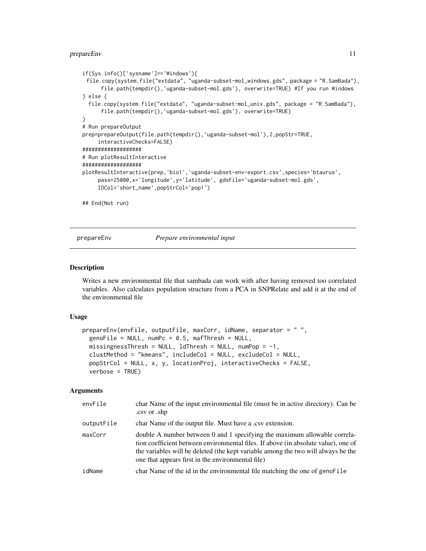#### <span id="page-10-0"></span>prepareEnv 11

```
if(Sys.info()['sysname']=='Windows'){
 file.copy(system.file("extdata", "uganda-subset-mol_windows.gds", package = "R.SamBada"),
     file.path(tempdir(),'uganda-subset-mol.gds'), overwrite=TRUE) #If you run Windows
} else {
 file.copy(system.file("extdata", "uganda-subset-mol_unix.gds", package = "R.SamBada"),
     file.path(tempdir(),'uganda-subset-mol.gds'), overwrite=TRUE)
}
# Run prepareOutput
prep=prepareOutput(file.path(tempdir(),'uganda-subset-mol'),2,popStr=TRUE,
     interactiveChecks=FALSE)
###################
# Run plotResultInteractive
###################
plotResultInteractive(prep,'bio1','uganda-subset-env-export.csv',species='btaurus',
     pass=25000,x='longitude',y='latitude', gdsFile='uganda-subset-mol.gds',
     IDCol='short_name',popStrCol='pop1')
## End(Not run)
```
prepareEnv *Prepare environmental input*

#### **Description**

Writes a new environmental file that sambada can work with after having removed too correlated variables. Also calculates population structure from a PCA in SNPRelate and add it at the end of the environmental file

#### Usage

```
prepareEnv(envFile, outputFile, maxCorr, idName, separator = "".
  genofile = NULL, numPc = 0.5, mafThresh = NULL,missingnessThresh = NULL, ldThresh = NULL, numPop = -1,
  clustMethod = "kmeans", includeCol = NULL, excludeCol = NULL,
  popStrCol = NULL, x, y, locationProj, interactiveChecks = FALSE,
  verbose = TRUE)
```

| envFile    | char Name of the input environmental file (must be in active directory). Can be<br>.csv or .shp                                                                                                                                                                                                           |
|------------|-----------------------------------------------------------------------------------------------------------------------------------------------------------------------------------------------------------------------------------------------------------------------------------------------------------|
| outputFile | char Name of the output file. Must have a .csv extension.                                                                                                                                                                                                                                                 |
| maxCorr    | double A number between 0 and 1 specifying the maximum allowable correla-<br>tion coefficient between environmental files. If above (in absolute value), one of<br>the variables will be deleted (the kept variable among the two will always be the<br>one that appears first in the environmental file) |
| idName     | char Name of the id in the environmental file matching the one of genoFile                                                                                                                                                                                                                                |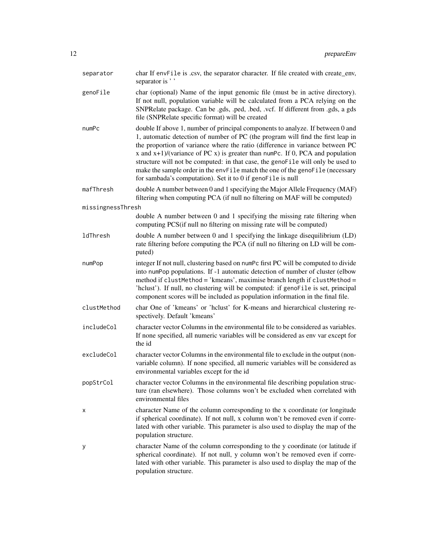| separator         | char If envFile is .csv, the separator character. If file created with create_env,<br>separator is ''                                                                                                                                                                                                                                                                                                                                                                                                                                                                     |
|-------------------|---------------------------------------------------------------------------------------------------------------------------------------------------------------------------------------------------------------------------------------------------------------------------------------------------------------------------------------------------------------------------------------------------------------------------------------------------------------------------------------------------------------------------------------------------------------------------|
| genoFile          | char (optional) Name of the input genomic file (must be in active directory).<br>If not null, population variable will be calculated from a PCA relying on the<br>SNPRelate package. Can be .gds, .ped, .bed, .vcf. If different from .gds, a gds<br>file (SNPRelate specific format) will be created                                                                                                                                                                                                                                                                     |
| numPc             | double If above 1, number of principal components to analyze. If between 0 and<br>1, automatic detection of number of PC (the program will find the first leap in<br>the proportion of variance where the ratio (difference in variance between PC<br>x and $x+1$ )/(variance of PC x) is greater than numPc. If 0, PCA and population<br>structure will not be computed: in that case, the genoFile will only be used to<br>make the sample order in the envFile match the one of the genoFile (necessary<br>for sambada's computation). Set it to 0 if genoFile is null |
| mafThresh         | double A number between 0 and 1 specifying the Major Allele Frequency (MAF)<br>filtering when computing PCA (if null no filtering on MAF will be computed)                                                                                                                                                                                                                                                                                                                                                                                                                |
| missingnessThresh |                                                                                                                                                                                                                                                                                                                                                                                                                                                                                                                                                                           |
|                   | double A number between 0 and 1 specifying the missing rate filtering when<br>computing PCS(if null no filtering on missing rate will be computed)                                                                                                                                                                                                                                                                                                                                                                                                                        |
| ldThresh          | double A number between 0 and 1 specifying the linkage disequilibrium (LD)<br>rate filtering before computing the PCA (if null no filtering on LD will be com-<br>puted)                                                                                                                                                                                                                                                                                                                                                                                                  |
| numPop            | integer If not null, clustering based on numPc first PC will be computed to divide<br>into numPop populations. If -1 automatic detection of number of cluster (elbow<br>method if clustMethod = 'kmeans', maximise branch length if clustMethod =<br>'hclust'). If null, no clustering will be computed: if genoFile is set, principal<br>component scores will be included as population information in the final file.                                                                                                                                                  |
| clustMethod       | char One of 'kmeans' or 'hclust' for K-means and hierarchical clustering re-<br>spectively. Default 'kmeans'                                                                                                                                                                                                                                                                                                                                                                                                                                                              |
| includeCol        | character vector Columns in the environmental file to be considered as variables.<br>If none specified, all numeric variables will be considered as env var except for<br>the id                                                                                                                                                                                                                                                                                                                                                                                          |
| excludeCol        | character vector Columns in the environmental file to exclude in the output (non-<br>variable column). If none specified, all numeric variables will be considered as<br>environmental variables except for the id                                                                                                                                                                                                                                                                                                                                                        |
| popStrCol         | character vector Columns in the environmental file describing population struc-<br>ture (ran elsewhere). Those columns won't be excluded when correlated with<br>environmental files                                                                                                                                                                                                                                                                                                                                                                                      |
| х                 | character Name of the column corresponding to the x coordinate (or longitude<br>if spherical coordinate). If not null, x column won't be removed even if corre-<br>lated with other variable. This parameter is also used to display the map of the<br>population structure.                                                                                                                                                                                                                                                                                              |
| у                 | character Name of the column corresponding to the y coordinate (or latitude if<br>spherical coordinate). If not null, y column won't be removed even if corre-<br>lated with other variable. This parameter is also used to display the map of the<br>population structure.                                                                                                                                                                                                                                                                                               |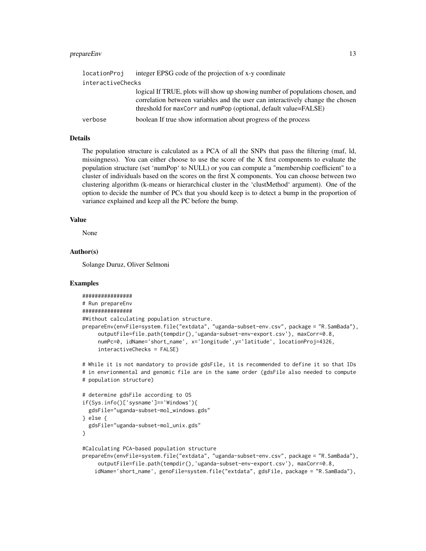#### prepareEnv 13

| locationProj      | integer EPSG code of the projection of x-y coordinate                                                                                                                                                                               |
|-------------------|-------------------------------------------------------------------------------------------------------------------------------------------------------------------------------------------------------------------------------------|
| interactiveChecks |                                                                                                                                                                                                                                     |
|                   | logical If TRUE, plots will show up showing number of populations chosen, and<br>correlation between variables and the user can interactively change the chosen<br>threshold for maxCorr and numPop (optional, default value=FALSE) |
| verbose           | boolean If true show information about progress of the process                                                                                                                                                                      |

#### Details

The population structure is calculated as a PCA of all the SNPs that pass the filtering (maf, ld, missingness). You can either choose to use the score of the X first components to evaluate the population structure (set 'numPop' to NULL) or you can compute a "membership coefficient" to a cluster of individuals based on the scores on the first X components. You can choose between two clustering algorithm (k-means or hierarchical cluster in the 'clustMethod' argument). One of the option to decide the number of PCs that you should keep is to detect a bump in the proportion of variance explained and keep all the PC before the bump.

#### Value

None

#### Author(s)

Solange Duruz, Oliver Selmoni

```
################
# Run prepareEnv
################
#Without calculating population structure.
prepareEnv(envFile=system.file("extdata", "uganda-subset-env.csv", package = "R.SamBada"),
     outputFile=file.path(tempdir(),'uganda-subset-env-export.csv'), maxCorr=0.8,
     numPc=0, idName='short_name', x='longitude',y='latitude', locationProj=4326,
     interactiveChecks = FALSE)
# While it is not mandatory to provide gdsFile, it is recommended to define it so that IDs
# in envrionmental and genomic file are in the same order (gdsFile also needed to compute
# population structure)
# determine gdsFile according to OS
if(Sys.info()['sysname']=='Windows'){
 gdsFile="uganda-subset-mol_windows.gds"
} else {
 gdsFile="uganda-subset-mol_unix.gds"
}
#Calculating PCA-based population structure
prepareEnv(envFile=system.file("extdata", "uganda-subset-env.csv", package = "R.SamBada"),
     outputFile=file.path(tempdir(),'uganda-subset-env-export.csv'), maxCorr=0.8,
    idName='short_name', genoFile=system.file("extdata", gdsFile, package = "R.SamBada"),
```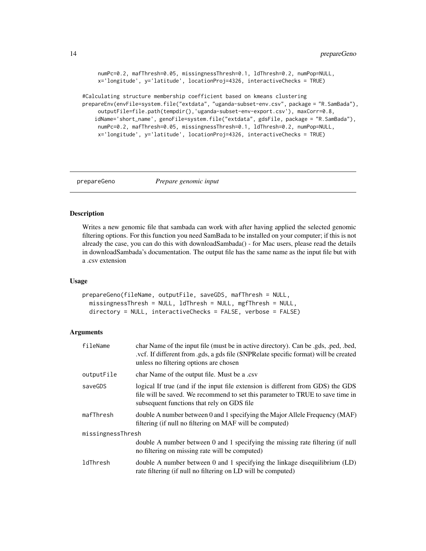```
numPc=0.2, mafThresh=0.05, missingnessThresh=0.1, ldThresh=0.2, numPop=NULL,
     x='longitude', y='latitude', locationProj=4326, interactiveChecks = TRUE)
#Calculating structure membership coefficient based on kmeans clustering
prepareEnv(envFile=system.file("extdata", "uganda-subset-env.csv", package = "R.SamBada"),
```

```
outputFile=file.path(tempdir(),'uganda-subset-env-export.csv'), maxCorr=0.8,
idName='short_name', genoFile=system.file("extdata", gdsFile, package = "R.SamBada"),
 numPc=0.2, mafThresh=0.05, missingnessThresh=0.1, ldThresh=0.2, numPop=NULL,
x='longitude', y='latitude', locationProj=4326, interactiveChecks = TRUE)
```
<span id="page-13-1"></span>

```
prepareGeno Prepare genomic input
```
#### Description

Writes a new genomic file that sambada can work with after having applied the selected genomic filtering options. For this function you need SamBada to be installed on your computer; if this is not already the case, you can do this with downloadSambada() - for Mac users, please read the details in downloadSambada's documentation. The output file has the same name as the input file but with a .csv extension

#### Usage

```
prepareGeno(fileName, outputFile, saveGDS, mafThresh = NULL,
 missingnessThresh = NULL, ldThresh = NULL, mgfThresh = NULL,
 directory = NULL, interactiveChecks = FALSE, verbose = FALSE)
```

| fileName          | char Name of the input file (must be in active directory). Can be .gds, .ped, .bed,<br>.vcf. If different from .gds, a gds file (SNPRelate specific format) will be created<br>unless no filtering options are chosen |
|-------------------|-----------------------------------------------------------------------------------------------------------------------------------------------------------------------------------------------------------------------|
| outputFile        | char Name of the output file. Must be a .csv                                                                                                                                                                          |
| saveGDS           | logical If true (and if the input file extension is different from GDS) the GDS<br>file will be saved. We recommend to set this parameter to TRUE to save time in<br>subsequent functions that rely on GDS file       |
| mafThresh         | double A number between 0 and 1 specifying the Major Allele Frequency (MAF)<br>filtering (if null no filtering on MAF will be computed)                                                                               |
| missingnessThresh |                                                                                                                                                                                                                       |
|                   | double A number between 0 and 1 specifying the missing rate filtering (if null<br>no filtering on missing rate will be computed)                                                                                      |
| ldThresh          | double A number between 0 and 1 specifying the linkage disequilibrium $(LD)$<br>rate filtering (if null no filtering on LD will be computed)                                                                          |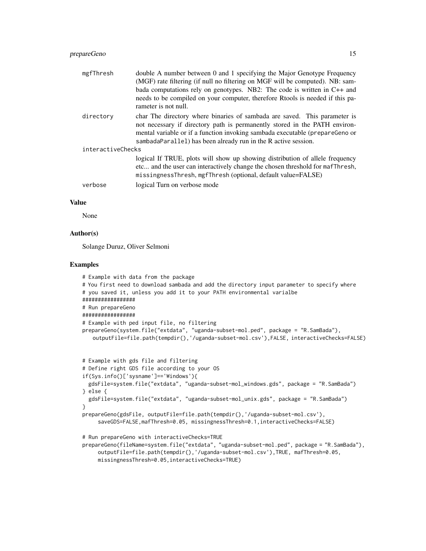| mgfThresh         | double A number between 0 and 1 specifying the Major Genotype Frequency                                                                                 |
|-------------------|---------------------------------------------------------------------------------------------------------------------------------------------------------|
|                   | (MGF) rate filtering (if null no filtering on MGF will be computed). NB: sam-                                                                           |
|                   | bada computations rely on genotypes. NB2: The code is written in $C++$ and                                                                              |
|                   | needs to be compiled on your computer, therefore Rtools is needed if this pa-<br>rameter is not null.                                                   |
| directory         | char The directory where binaries of sambada are saved. This parameter is<br>not necessary if directory path is permanently stored in the PATH environ- |
|                   | mental variable or if a function invoking sambada executable (prepareGeno or<br>sambadaParallel) has been already run in the R active session.          |
| interactiveChecks |                                                                                                                                                         |
|                   | logical If TRUE, plots will show up showing distribution of allele frequency                                                                            |
|                   | etc and the user can interactively change the chosen threshold for mafThresh,<br>missingnessThresh, mgfThresh (optional, default value=FALSE)           |
| verbose           | logical Turn on verbose mode                                                                                                                            |

#### Value

None

#### Author(s)

Solange Duruz, Oliver Selmoni

```
# Example with data from the package
# You first need to download sambada and add the directory input parameter to specify where
# you saved it, unless you add it to your PATH environmental varialbe
#################
# Run prepareGeno
#################
# Example with ped input file, no filtering
prepareGeno(system.file("extdata", "uganda-subset-mol.ped", package = "R.SamBada"),
   outputFile=file.path(tempdir(),'/uganda-subset-mol.csv'),FALSE, interactiveChecks=FALSE)
# Example with gds file and filtering
# Define right GDS file according to your OS
if(Sys.info()['sysname']=='Windows'){
 gdsFile=system.file("extdata", "uganda-subset-mol_windows.gds", package = "R.SamBada")
} else {
 gdsFile=system.file("extdata", "uganda-subset-mol_unix.gds", package = "R.SamBada")
}
prepareGeno(gdsFile, outputFile=file.path(tempdir(),'/uganda-subset-mol.csv'),
     saveGDS=FALSE,mafThresh=0.05, missingnessThresh=0.1,interactiveChecks=FALSE)
# Run prepareGeno with interactiveChecks=TRUE
prepareGeno(fileName=system.file("extdata", "uganda-subset-mol.ped", package = "R.SamBada"),
     outputFile=file.path(tempdir(),'/uganda-subset-mol.csv'),TRUE, mafThresh=0.05,
```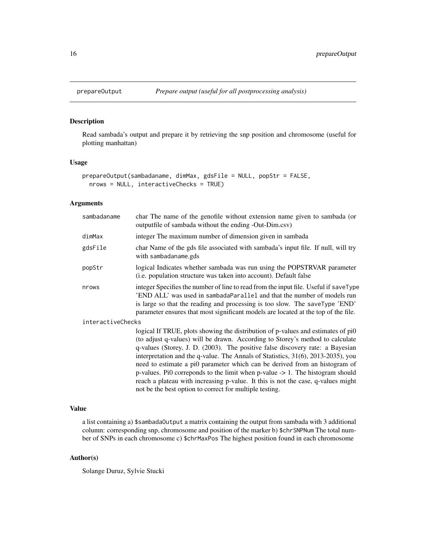<span id="page-15-1"></span><span id="page-15-0"></span>

#### Description

Read sambada's output and prepare it by retrieving the snp position and chromosome (useful for plotting manhattan)

#### Usage

```
prepareOutput(sambadaname, dimMax, gdsFile = NULL, popStr = FALSE,
 nrows = NULL, interactiveChecks = TRUE)
```
#### Arguments

| sambadaname       | char The name of the genofile without extension name given to sambada (or<br>outputfile of sambada without the ending -Out-Dim.csv)                                                                                                                                                                                                                                                                                                                                                                                                                                                                                                                                 |
|-------------------|---------------------------------------------------------------------------------------------------------------------------------------------------------------------------------------------------------------------------------------------------------------------------------------------------------------------------------------------------------------------------------------------------------------------------------------------------------------------------------------------------------------------------------------------------------------------------------------------------------------------------------------------------------------------|
| dimMax            | integer The maximum number of dimension given in sambada                                                                                                                                                                                                                                                                                                                                                                                                                                                                                                                                                                                                            |
| gdsFile           | char Name of the gds file associated with sambada's input file. If null, will try<br>with sambadaname.gds                                                                                                                                                                                                                                                                                                                                                                                                                                                                                                                                                           |
| popStr            | logical Indicates whether sambada was run using the POPSTRVAR parameter<br>( <i>i.e.</i> population structure was taken into account). Default false                                                                                                                                                                                                                                                                                                                                                                                                                                                                                                                |
| nrows             | integer Specifies the number of line to read from the input file. Useful if saveType<br>'END ALL' was used in sambadaParallel and that the number of models run<br>is large so that the reading and processing is too slow. The saveType 'END'<br>parameter ensures that most significant models are located at the top of the file.                                                                                                                                                                                                                                                                                                                                |
| interactiveChecks |                                                                                                                                                                                                                                                                                                                                                                                                                                                                                                                                                                                                                                                                     |
|                   | logical If TRUE, plots showing the distribution of p-values and estimates of pi0<br>(to adjust q-values) will be drawn. According to Storey's method to calculate<br>q-values (Storey, J. D. (2003). The positive false discovery rate: a Bayesian<br>interpretation and the q-value. The Annals of Statistics, 31(6), 2013-2035), you<br>need to estimate a pi0 parameter which can be derived from an histogram of<br>p-values. Pi0 corresponds to the limit when $p$ -value $\rightarrow$ 1. The histogram should<br>reach a plateau with increasing p-value. It this is not the case, q-values might<br>not be the best option to correct for multiple testing. |

#### Value

a list containing a) \$sambadaOutput a matrix containing the output from sambada with 3 additional column: corresponding snp, chromosome and position of the marker b) \$chrSNPNum The total number of SNPs in each chromosome c) \$chrMaxPos The highest position found in each chromosome

#### Author(s)

Solange Duruz, Sylvie Stucki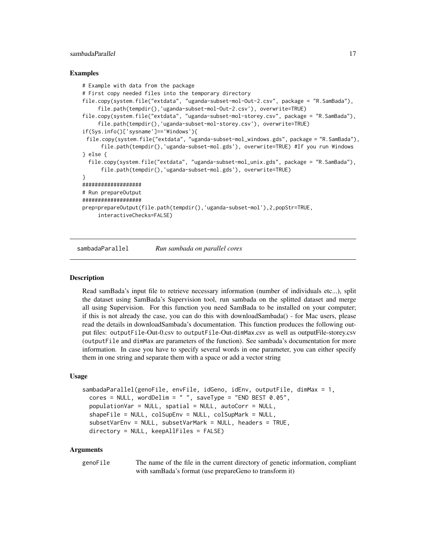#### <span id="page-16-0"></span>sambadaParallel 17

#### Examples

```
# Example with data from the package
# First copy needed files into the temporary directory
file.copy(system.file("extdata", "uganda-subset-mol-Out-2.csv", package = "R.SamBada"),
     file.path(tempdir(),'uganda-subset-mol-Out-2.csv'), overwrite=TRUE)
file.copy(system.file("extdata", "uganda-subset-mol-storey.csv", package = "R.SamBada"),
     file.path(tempdir(),'uganda-subset-mol-storey.csv'), overwrite=TRUE)
if(Sys.info()['sysname']=='Windows'){
 file.copy(system.file("extdata", "uganda-subset-mol_windows.gds", package = "R.SamBada"),
      file.path(tempdir(),'uganda-subset-mol.gds'), overwrite=TRUE) #If you run Windows
} else {
 file.copy(system.file("extdata", "uganda-subset-mol_unix.gds", package = "R.SamBada"),
      file.path(tempdir(),'uganda-subset-mol.gds'), overwrite=TRUE)
}
###################
# Run prepareOutput
###################
prep=prepareOutput(file.path(tempdir(),'uganda-subset-mol'),2,popStr=TRUE,
     interactiveChecks=FALSE)
```
<span id="page-16-1"></span>sambadaParallel *Run sambada on parallel cores*

#### Description

Read samBada's input file to retrieve necessary information (number of individuals etc...), split the dataset using SamBada's Supervision tool, run sambada on the splitted dataset and merge all using Supervision. For this function you need SamBada to be installed on your computer; if this is not already the case, you can do this with downloadSambada() - for Mac users, please read the details in downloadSambada's documentation. This function produces the following output files: outputFile-Out-0.csv to outputFile-Out-dimMax.csv as well as outputFile-storey.csv (outputFile and dimMax are parameters of the function). See sambada's documentation for more information. In case you have to specify several words in one parameter, you can either specify them in one string and separate them with a space or add a vector string

#### Usage

```
sambadaParallel(genoFile, envFile, idGeno, idEnv, outputFile, dimMax = 1,
 cores = NULL, wordDelim = " ", saveType = "END BEST 0.05",
 populationVar = NULL, spatial = NULL, autoCorr = NULL,
 shapeFile = NULL, colSupEnv = NULL, colSupMark = NULL,
 subsetVarEnv = NULL, subsetVarMark = NULL, headers = TRUE,
 directory = NULL, keepAllFiles = FALSE)
```

| genoFile | The name of the file in the current directory of genetic information, compliant |
|----------|---------------------------------------------------------------------------------|
|          | with samBada's format (use prepareGeno to transform it)                         |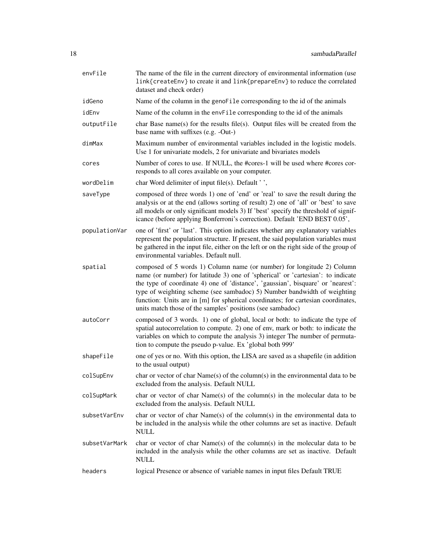| envFile       | The name of the file in the current directory of environmental information (use<br>link{createEnv} to create it and link{prepareEnv} to reduce the correlated<br>dataset and check order)                                                                                                                                                                                                                                                                                   |
|---------------|-----------------------------------------------------------------------------------------------------------------------------------------------------------------------------------------------------------------------------------------------------------------------------------------------------------------------------------------------------------------------------------------------------------------------------------------------------------------------------|
| idGeno        | Name of the column in the genoFile corresponding to the id of the animals                                                                                                                                                                                                                                                                                                                                                                                                   |
| idEnv         | Name of the column in the envFile corresponding to the id of the animals                                                                                                                                                                                                                                                                                                                                                                                                    |
| outputFile    | char Base name(s) for the results file(s). Output files will be created from the<br>base name with suffixes (e.g. -Out-)                                                                                                                                                                                                                                                                                                                                                    |
| dimMax        | Maximum number of environmental variables included in the logistic models.<br>Use 1 for univariate models, 2 for univariate and bivariates models                                                                                                                                                                                                                                                                                                                           |
| cores         | Number of cores to use. If NULL, the #cores-1 will be used where #cores cor-<br>responds to all cores available on your computer.                                                                                                                                                                                                                                                                                                                                           |
| wordDelim     | char Word delimiter of input file(s). Default '',                                                                                                                                                                                                                                                                                                                                                                                                                           |
| saveType      | composed of three words 1) one of 'end' or 'real' to save the result during the<br>analysis or at the end (allows sorting of result) 2) one of 'all' or 'best' to save<br>all models or only significant models 3) If 'best' specify the threshold of signif-<br>icance (before applying Bonferroni's correction). Default 'END BEST 0.05',                                                                                                                                 |
| populationVar | one of 'first' or 'last'. This option indicates whether any explanatory variables<br>represent the population structure. If present, the said population variables must<br>be gathered in the input file, either on the left or on the right side of the group of<br>environmental variables. Default null.                                                                                                                                                                 |
| spatial       | composed of 5 words 1) Column name (or number) for longitude 2) Column<br>name (or number) for latitude 3) one of 'spherical' or 'cartesian': to indicate<br>the type of coordinate 4) one of 'distance', 'gaussian', bisquare' or 'nearest':<br>type of weighting scheme (see sambadoc) 5) Number bandwidth of weighting<br>function: Units are in [m] for spherical coordinates; for cartesian coordinates,<br>units match those of the samples' positions (see sambadoc) |
| autoCorr      | composed of 3 words. 1) one of global, local or both: to indicate the type of<br>spatial autocorrelation to compute. 2) one of env, mark or both: to indicate the<br>variables on which to compute the analysis 3) integer The number of permuta-<br>tion to compute the pseudo p-value. Ex 'global both 999'                                                                                                                                                               |
| shapeFile     | one of yes or no. With this option, the LISA are saved as a shapefile (in addition<br>to the usual output)                                                                                                                                                                                                                                                                                                                                                                  |
| colSupEnv     | char or vector of char $Name(s)$ of the column(s) in the environmental data to be<br>excluded from the analysis. Default NULL                                                                                                                                                                                                                                                                                                                                               |
| colSupMark    | char or vector of char $Name(s)$ of the column(s) in the molecular data to be<br>excluded from the analysis. Default NULL                                                                                                                                                                                                                                                                                                                                                   |
| subsetVarEnv  | char or vector of char Name(s) of the column(s) in the environmental data to<br>be included in the analysis while the other columns are set as inactive. Default<br><b>NULL</b>                                                                                                                                                                                                                                                                                             |
| subsetVarMark | char or vector of char $Name(s)$ of the column(s) in the molecular data to be<br>included in the analysis while the other columns are set as inactive. Default<br><b>NULL</b>                                                                                                                                                                                                                                                                                               |
| headers       | logical Presence or absence of variable names in input files Default TRUE                                                                                                                                                                                                                                                                                                                                                                                                   |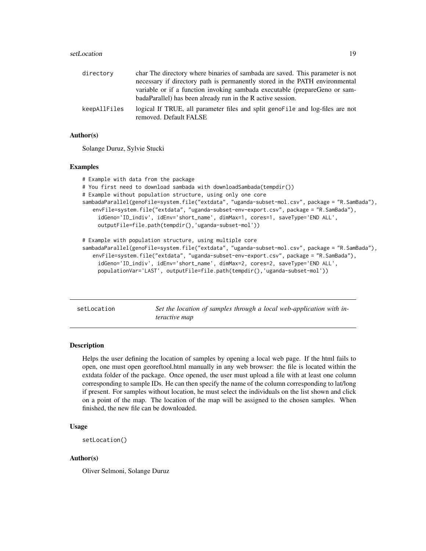#### <span id="page-18-0"></span>setLocation and the setLocation and the setLocation and the setLocation and the setLocation and the setLocation  $19$

| directory    | char The directory where binaries of sambada are saved. This parameter is not   |
|--------------|---------------------------------------------------------------------------------|
|              | necessary if directory path is permanently stored in the PATH environmental     |
|              | variable or if a function invoking sambada executable (prepareGeno or sam-      |
|              | badaParallel) has been already run in the R active session.                     |
| keepAllFiles | logical If TRUE, all parameter files and split geno--<br>removed. Default FALSE |

#### Author(s)

Solange Duruz, Sylvie Stucki

#### Examples

```
# Example with data from the package
# You first need to download sambada with downloadSambada(tempdir())
# Example without population structure, using only one core
sambadaParallel(genoFile=system.file("extdata", "uganda-subset-mol.csv", package = "R.SamBada"),
   envFile=system.file("extdata", "uganda-subset-env-export.csv", package = "R.SamBada"),
     idGeno='ID_indiv', idEnv='short_name', dimMax=1, cores=1, saveType='END ALL',
     outputFile=file.path(tempdir(),'uganda-subset-mol'))
# Example with population structure, using multiple core
sambadaParallel(genoFile=system.file("extdata", "uganda-subset-mol.csv", package = "R.SamBada"),
```

```
envFile=system.file("extdata", "uganda-subset-env-export.csv", package = "R.SamBada"),
 idGeno='ID_indiv', idEnv='short_name', dimMax=2, cores=2, saveType='END ALL',
 populationVar='LAST', outputFile=file.path(tempdir(),'uganda-subset-mol'))
```
<span id="page-18-1"></span>setLocation *Set the location of samples through a local web-application with interactive map*

#### Description

Helps the user defining the location of samples by opening a local web page. If the html fails to open, one must open georeftool.html manually in any web browser: the file is located within the extdata folder of the package. Once opened, the user must upload a file with at least one column corresponding to sample IDs. He can then specify the name of the column corresponding to lat/long if present. For samples without location, he must select the individuals on the list shown and click on a point of the map. The location of the map will be assigned to the chosen samples. When finished, the new file can be downloaded.

#### Usage

```
setLocation()
```
#### Author(s)

Oliver Selmoni, Solange Duruz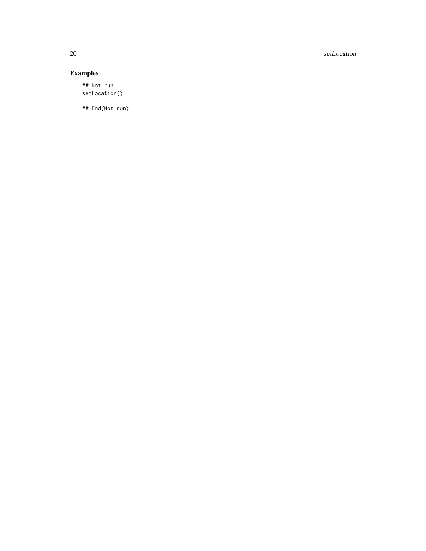20 setLocation

#### Examples

## Not run: setLocation()

## End(Not run)